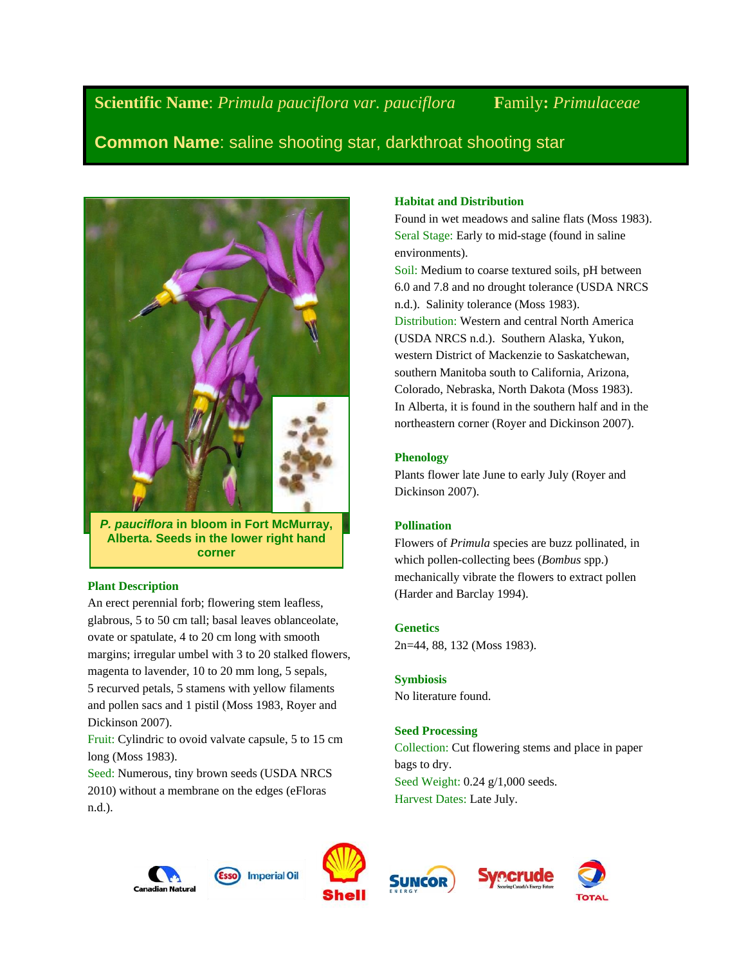**Scientific Name**: *Primula pauciflora var. pauciflora* **F**amily**:** *Primulaceae*

**Common Name**: saline shooting star, darkthroat shooting star



*P. pauciflora* **in bloom in Fort McMurray, Alberta. Seeds in the lower right hand corner**

## **Plant Description**

An erect perennial forb; flowering stem leafless, glabrous, 5 to 50 cm tall; basal leaves oblanceolate, ovate or spatulate, 4 to 20 cm long with smooth margins; irregular umbel with 3 to 20 stalked flowers, magenta to lavender, 10 to 20 mm long, 5 sepals, 5 recurved petals, 5 stamens with yellow filaments and pollen sacs and 1 pistil (Moss 1983, Royer and Dickinson 2007).

Fruit: Cylindric to ovoid valvate capsule, 5 to 15 cm long (Moss 1983).

Seed: Numerous, tiny brown seeds (USDA NRCS 2010) without a membrane on the edges (eFloras n.d.).

# **Habitat and Distribution**

Found in wet meadows and saline flats (Moss 1983). Seral Stage: Early to mid-stage (found in saline environments).

Soil: Medium to coarse textured soils, pH between 6.0 and 7.8 and no drought tolerance (USDA NRCS n.d.). Salinity tolerance (Moss 1983). Distribution: Western and central North America (USDA NRCS n.d.). Southern Alaska, Yukon, western District of Mackenzie to Saskatchewan, southern Manitoba south to California, Arizona, Colorado, Nebraska, North Dakota (Moss 1983). In Alberta, it is found in the southern half and in the northeastern corner (Royer and Dickinson 2007).

## **Phenology**

Plants flower late June to early July (Royer and Dickinson 2007).

# **Pollination**

Flowers of *Primula* species are buzz pollinated, in which pollen-collecting bees (*Bombus* spp.) mechanically vibrate the flowers to extract pollen (Harder and Barclay 1994).

## **Genetics**

2n=44, 88, 132 (Moss 1983).

## **Symbiosis**

No literature found.

# **Seed Processing**

Collection: Cut flowering stems and place in paper bags to dry. Seed Weight: 0.24 g/1,000 seeds. Harvest Dates: Late July.





**Imperial Oil** 



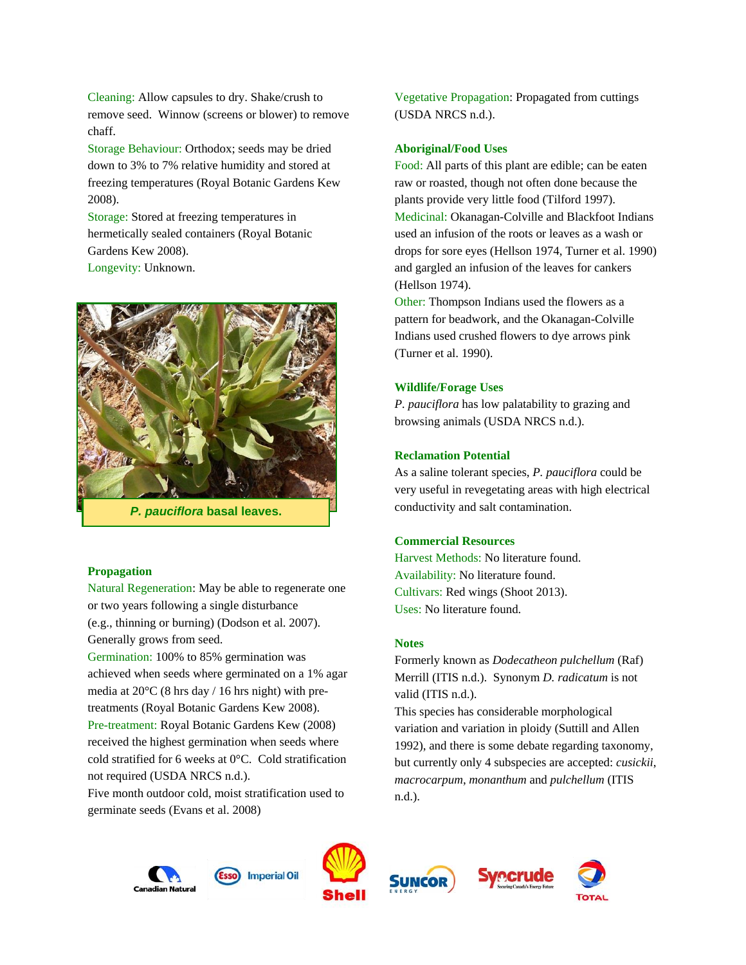Cleaning: Allow capsules to dry. Shake/crush to remove seed. Winnow (screens or blower) to remove chaff.

Storage Behaviour: Orthodox; seeds may be dried down to 3% to 7% relative humidity and stored at freezing temperatures (Royal Botanic Gardens Kew 2008).

Storage: Stored at freezing temperatures in hermetically sealed containers (Royal Botanic Gardens Kew 2008). Longevity: Unknown.



#### **Propagation**

Natural Regeneration: May be able to regenerate one or two years following a single disturbance (e.g., thinning or burning) (Dodson et al. 2007). Generally grows from seed.

Germination: 100% to 85% germination was achieved when seeds where germinated on a 1% agar media at 20°C (8 hrs day / 16 hrs night) with pretreatments (Royal Botanic Gardens Kew 2008). Pre-treatment: Royal Botanic Gardens Kew (2008) received the highest germination when seeds where cold stratified for 6 weeks at 0°C. Cold stratification not required (USDA NRCS n.d.).

Five month outdoor cold, moist stratification used to germinate seeds (Evans et al. 2008)

Vegetative Propagation: Propagated from cuttings (USDA NRCS n.d.).

### **Aboriginal/Food Uses**

Food: All parts of this plant are edible; can be eaten raw or roasted, though not often done because the plants provide very little food (Tilford 1997). Medicinal: Okanagan-Colville and Blackfoot Indians used an infusion of the roots or leaves as a wash or drops for sore eyes (Hellson 1974, Turner et al. 1990) and gargled an infusion of the leaves for cankers (Hellson 1974).

Other: Thompson Indians used the flowers as a pattern for beadwork, and the Okanagan-Colville Indians used crushed flowers to dye arrows pink (Turner et al. 1990).

#### **Wildlife/Forage Uses**

*P. pauciflora* has low palatability to grazing and browsing animals (USDA NRCS n.d.).

#### **Reclamation Potential**

As a saline tolerant species, *P. pauciflora* could be very useful in revegetating areas with high electrical conductivity and salt contamination.

#### **Commercial Resources**

Harvest Methods: No literature found. Availability: No literature found. Cultivars: Red wings (Shoot 2013). Uses: No literature found.

#### **Notes**

Formerly known as *Dodecatheon pulchellum* (Raf) Merrill (ITIS n.d.). Synonym *D. radicatum* is not valid (ITIS n.d.).

This species has considerable morphological variation and variation in ploidy (Suttill and Allen 1992), and there is some debate regarding taxonomy, but currently only 4 subspecies are accepted: *cusickii*, *macrocarpum*, *monanthum* and *pulchellum* (ITIS n.d.).







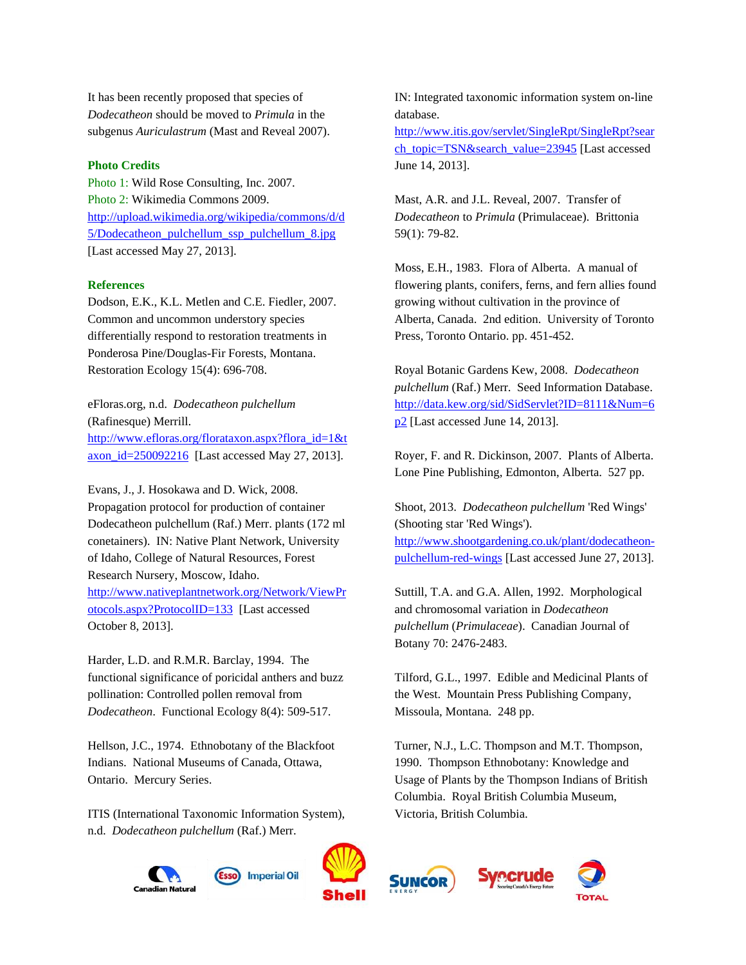It has been recently proposed that species of *Dodecatheon* should be moved to *Primula* in the subgenus *Auriculastrum* (Mast and Reveal 2007).

#### **Photo Credits**

Photo 1: Wild Rose Consulting, Inc. 2007. Photo 2: Wikimedia Commons 2009. [http://upload.wikimedia.org/wikipedia/commons/d/d](http://upload.wikimedia.org/wikipedia/commons/d/d5/Dodecatheon_pulchellum_ssp_pulchellum_8.jpg) [5/Dodecatheon\\_pulchellum\\_ssp\\_pulchellum\\_8.jpg](http://upload.wikimedia.org/wikipedia/commons/d/d5/Dodecatheon_pulchellum_ssp_pulchellum_8.jpg) [Last accessed May 27, 2013].

#### **References**

Dodson, E.K., K.L. Metlen and C.E. Fiedler, 2007. Common and uncommon understory species differentially respond to restoration treatments in Ponderosa Pine/Douglas-Fir Forests, Montana. Restoration Ecology 15(4): 696-708.

eFloras.org, n.d. *Dodecatheon pulchellum* (Rafinesque) Merrill. [http://www.efloras.org/florataxon.aspx?flora\\_id=1&t](http://www.efloras.org/florataxon.aspx?flora_id=1&taxon_id=250092216) axon id=250092216 [Last accessed May 27, 2013].

Evans, J., J. Hosokawa and D. Wick, 2008. Propagation protocol for production of container Dodecatheon pulchellum (Raf.) Merr. plants (172 ml conetainers). IN: Native Plant Network, University of Idaho, College of Natural Resources, Forest Research Nursery, Moscow, Idaho. [http://www.nativeplantnetwork.org/Network/ViewPr](http://www.nativeplantnetwork.org/Network/ViewProtocols.aspx?ProtocolID=133) [otocols.aspx?ProtocolID=133](http://www.nativeplantnetwork.org/Network/ViewProtocols.aspx?ProtocolID=133) [Last accessed October 8, 2013].

Harder, L.D. and R.M.R. Barclay, 1994. The functional significance of poricidal anthers and buzz pollination: Controlled pollen removal from *Dodecatheon*. Functional Ecology 8(4): 509-517.

Hellson, J.C., 1974. Ethnobotany of the Blackfoot Indians. National Museums of Canada, Ottawa, Ontario. Mercury Series.

ITIS (International Taxonomic Information System), n.d. *Dodecatheon pulchellum* (Raf.) Merr.



Suttill, T.A. and G.A. Allen, 1992. Morphological and chromosomal variation in *Dodecatheon pulchellum* (*Primulaceae*). Canadian Journal of Botany 70: 2476-2483.

Tilford, G.L., 1997. Edible and Medicinal Plants of the West. Mountain Press Publishing Company, Missoula, Montana. 248 pp.

Turner, N.J., L.C. Thompson and M.T. Thompson, 1990. Thompson Ethnobotany: Knowledge and Usage of Plants by the Thompson Indians of British Columbia. Royal British Columbia Museum, Victoria, British Columbia.







Alberta, Canada. 2nd edition. University of Toronto Press, Toronto Ontario. pp. 451-452. Royal Botanic Gardens Kew, 2008. *Dodecatheon* 

*pulchellum* (Raf.) Merr. Seed Information Database. [http://data.kew.org/sid/SidServlet?ID=8111&Num=6](http://data.kew.org/sid/SidServlet?ID=8111&Num=6p2) p<sup>2</sup> [Last accessed June 14, 2013].

Royer, F. and R. Dickinson, 2007. Plants of Alberta. Lone Pine Publishing, Edmonton, Alberta. 527 pp.

Shoot, 2013. *Dodecatheon pulchellum* 'Red Wings' (Shooting star 'Red Wings'). [http://www.shootgardening.co.uk/plant/dodecatheon](http://www.shootgardening.co.uk/plant/dodecatheon-pulchellum-red-wings)[pulchellum-red-wings](http://www.shootgardening.co.uk/plant/dodecatheon-pulchellum-red-wings) [Last accessed June 27, 2013].

database. [http://www.itis.gov/servlet/SingleRpt/SingleRpt?sear](http://www.itis.gov/servlet/SingleRpt/SingleRpt?search_topic=TSN&search_value=23945) [ch\\_topic=TSN&search\\_value=23945](http://www.itis.gov/servlet/SingleRpt/SingleRpt?search_topic=TSN&search_value=23945) [Last accessed

IN: Integrated taxonomic information system on-line

June 14, 2013].

Mast, A.R. and J.L. Reveal, 2007. Transfer of *Dodecatheon* to *Primula* (Primulaceae). Brittonia 59(1): 79-82.

Moss, E.H., 1983. Flora of Alberta. A manual of flowering plants, conifers, ferns, and fern allies found

growing without cultivation in the province of